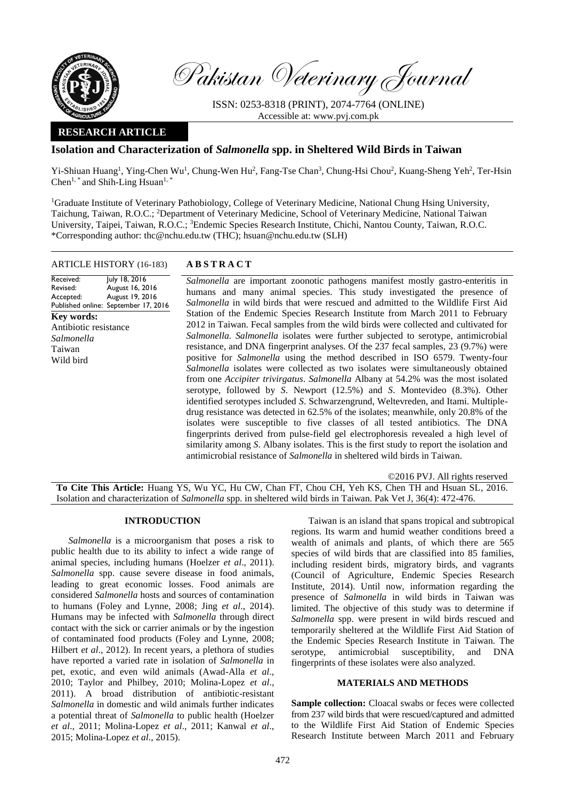

Pakistan Veterinary Journal

ISSN: 0253-8318 (PRINT), 2074-7764 (ONLINE) Accessible at: [www.pvj.com.pk](http://www.pvj.com.pk/)

## **RESEARCH ARTICLE**

# **Isolation and Characterization of** *Salmonella* **spp. in Sheltered Wild Birds in Taiwan**

Yi-Shiuan Huang<sup>1</sup>, Ying-Chen Wu<sup>1</sup>, Chung-Wen Hu<sup>2</sup>, Fang-Tse Chan<sup>3</sup>, Chung-Hsi Chou<sup>2</sup>, Kuang-Sheng Yeh<sup>2</sup>, Ter-Hsin  $Chen<sup>1, *</sup>$  and Shih-Ling Hsuan<sup>1, \*</sup>

<sup>1</sup>Graduate Institute of Veterinary Pathobiology, College of Veterinary Medicine, National Chung Hsing University, Taichung, Taiwan, R.O.C.; <sup>2</sup>Department of Veterinary Medicine, School of Veterinary Medicine, National Taiwan University, Taipei, Taiwan, R.O.C.; <sup>3</sup>Endemic Species Research Institute, Chichi, Nantou County, Taiwan, R.O.C. \*Corresponding author: thc@nchu.edu.tw (THC); hsuan@nchu.edu.tw (SLH)

## ARTICLE HISTORY (16-183) **A B S T R A C T**

Received: Revised: Accepted: Published online: September 17, 2016 July 18, 2016 August 16, 2016 August 19, 2016 **Key words:**  Antibiotic resistance *Salmonella* Taiwan Wild bird

*Salmonella* are important zoonotic pathogens manifest mostly gastro-enteritis in humans and many animal species. This study investigated the presence of *Salmonella* in wild birds that were rescued and admitted to the Wildlife First Aid Station of the Endemic Species Research Institute from March 2011 to February 2012 in Taiwan. Fecal samples from the wild birds were collected and cultivated for *Salmonella. Salmonella* isolates were further subjected to serotype, antimicrobial resistance, and DNA fingerprint analyses. Of the 237 fecal samples, 23 (9.7%) were positive for *Salmonella* using the method described in ISO 6579. Twenty-four *Salmonella* isolates were collected as two isolates were simultaneously obtained from one *Accipiter trivirgatus*. *Salmonella* Albany at 54.2% was the most isolated serotype, followed by *S*. Newport (12.5%) and *S*. Montevideo (8.3%). Other identified serotypes included *S*. Schwarzengrund, Weltevreden, and Itami. Multipledrug resistance was detected in 62.5% of the isolates; meanwhile, only 20.8% of the isolates were susceptible to five classes of all tested antibiotics. The DNA fingerprints derived from pulse-field gel electrophoresis revealed a high level of similarity among *S*. Albany isolates. This is the first study to report the isolation and antimicrobial resistance of *Salmonella* in sheltered wild birds in Taiwan.

©2016 PVJ. All rights reserved **To Cite This Article:** Huang YS, Wu YC, Hu CW, Chan FT, Chou CH, Yeh KS, Chen TH and Hsuan SL, 2016. Isolation and characterization of *Salmonella* spp. in sheltered wild birds in Taiwan. Pak Vet J, 36(4): 472-476.

### **INTRODUCTION**

*Salmonella* is a microorganism that poses a risk to public health due to its ability to infect a wide range of animal species, including humans (Hoelzer *et al*., 2011). *Salmonella* spp. cause severe disease in food animals, leading to great economic losses. Food animals are considered *Salmonella* hosts and sources of contamination to humans (Foley and Lynne, 2008; Jing *et al*., 2014). Humans may be infected with *Salmonella* through direct contact with the sick or carrier animals or by the ingestion of contaminated food products (Foley and Lynne, 2008; Hilbert *et al*., 2012). In recent years, a plethora of studies have reported a varied rate in isolation of *Salmonella* in pet, exotic, and even wild animals (Awad-Alla *et al*., 2010; Taylor and Philbey, 2010; Molina-Lopez *et al*., 2011). A broad distribution of antibiotic-resistant *Salmonella* in domestic and wild animals further indicates a potential threat of *Salmonella* to public health (Hoelzer *et al*., 2011; Molina-Lopez *et al*., 2011; Kanwal *et al*., 2015; Molina-Lopez *et al*., 2015).

Taiwan is an island that spans tropical and subtropical regions. Its warm and humid weather conditions breed a wealth of animals and plants, of which there are 565 species of wild birds that are classified into 85 families, including resident birds, migratory birds, and vagrants (Council of Agriculture, Endemic Species Research Institute, 2014). Until now, information regarding the presence of *Salmonella* in wild birds in Taiwan was limited. The objective of this study was to determine if *Salmonella* spp. were present in wild birds rescued and temporarily sheltered at the Wildlife First Aid Station of the Endemic Species Research Institute in Taiwan. The serotype, antimicrobial susceptibility, and DNA fingerprints of these isolates were also analyzed.

## **MATERIALS AND METHODS**

**Sample collection:** Cloacal swabs or feces were collected from 237 wild birds that were rescued/captured and admitted to the Wildlife First Aid Station of Endemic Species Research Institute between March 2011 and February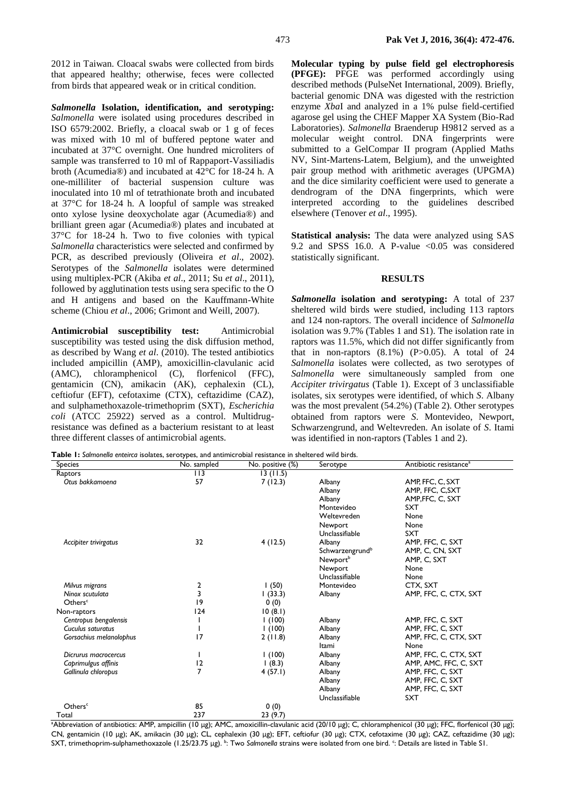2012 in Taiwan. Cloacal swabs were collected from birds that appeared healthy; otherwise, feces were collected from birds that appeared weak or in critical condition.

*Salmonella* **Isolation, identification, and serotyping:** *Salmonella* were isolated using procedures described in ISO 6579:2002. Briefly, a cloacal swab or 1 g of feces was mixed with 10 ml of buffered peptone water and incubated at 37°C overnight. One hundred microliters of sample was transferred to 10 ml of Rappaport-Vassiliadis broth (Acumedia®) and incubated at 42°C for 18-24 h. A one-milliliter of bacterial suspension culture was inoculated into 10 ml of tetrathionate broth and incubated at 37°C for 18-24 h. A loopful of sample was streaked onto xylose lysine deoxycholate agar (Acumedia®) and brilliant green agar (Acumedia®) plates and incubated at 37°C for 18-24 h. Two to five colonies with typical *Salmonella* characteristics were selected and confirmed by PCR, as described previously (Oliveira *et al*., 2002). Serotypes of the *Salmonella* isolates were determined using multiplex-PCR (Akiba *et al*., 2011; Su *et al*., 2011), followed by agglutination tests using sera specific to the O and H antigens and based on the Kauffmann-White scheme (Chiou *et al*., 2006; Grimont and Weill, 2007).

**Antimicrobial susceptibility test:** Antimicrobial susceptibility was tested using the disk diffusion method, as described by Wang *et al*. (2010). The tested antibiotics included ampicillin (AMP), amoxicillin-clavulanic acid (AMC), chloramphenicol (C), florfenicol (FFC), gentamicin (CN), amikacin (AK), cephalexin (CL), ceftiofur (EFT), cefotaxime (CTX), ceftazidime (CAZ), and sulphamethoxazole-trimethoprim (SXT), *Escherichia coli* (ATCC 25922) served as a control. Multidrugresistance was defined as a bacterium resistant to at least three different classes of antimicrobial agents.

**Molecular typing by pulse field gel electrophoresis (PFGE):** PFGE was performed accordingly using described methods (PulseNet International, 2009). Briefly, bacterial genomic DNA was digested with the restriction enzyme *Xba*I and analyzed in a 1% pulse field-certified agarose gel using the CHEF Mapper XA System (Bio-Rad Laboratories). *Salmonella* Braenderup H9812 served as a molecular weight control. DNA fingerprints were submitted to a GelCompar II program (Applied Maths NV, Sint-Martens-Latem, Belgium), and the unweighted pair group method with arithmetic averages (UPGMA) and the dice similarity coefficient were used to generate a dendrogram of the DNA fingerprints, which were interpreted according to the guidelines described elsewhere (Tenover *et al*., 1995).

**Statistical analysis:** The data were analyzed using SAS 9.2 and SPSS 16.0. A P-value  $\leq 0.05$  was considered statistically significant.

### **RESULTS**

*Salmonella* **isolation and serotyping:** A total of 237 sheltered wild birds were studied, including 113 raptors and 124 non-raptors. The overall incidence of *Salmonella*  isolation was 9.7% (Tables 1 and S1). The isolation rate in raptors was 11.5%, which did not differ significantly from that in non-raptors  $(8.1\%)$   $(P>0.05)$ . A total of 24 *Salmonella* isolates were collected, as two serotypes of *Salmonella* were simultaneously sampled from one *Accipiter trivirgatus* (Table 1). Except of 3 unclassifiable isolates, six serotypes were identified, of which *S*. Albany was the most prevalent (54.2%) (Table 2). Other serotypes obtained from raptors were *S*. Montevideo, Newport, Schwarzengrund, and Weltevreden. An isolate of *S*. Itami was identified in non-raptors (Tables 1 and 2).

**Table 1:** *Salmonella enteirca* isolates, serotypes, and antimicrobial resistance in sheltered wild birds.

| <b>Species</b>          | 7 F<br>No. sampled | No. positive (%) | Serotype                    | Antibiotic resistance <sup>a</sup> |
|-------------------------|--------------------|------------------|-----------------------------|------------------------------------|
| Raptors                 | $\overline{113}$   | 13(11.5)         |                             |                                    |
| Otus bakkamoena         | 57                 | 7(12.3)          | Albany                      | AMP, FFC, C, SXT                   |
|                         |                    |                  | Albany                      | AMP, FFC, C, SXT                   |
|                         |                    |                  | Albany                      | AMP, FFC, C, SXT                   |
|                         |                    |                  | Montevideo                  | <b>SXT</b>                         |
|                         |                    |                  | Weltevreden                 | None                               |
|                         |                    |                  | Newport                     | None                               |
|                         |                    |                  | Unclassifiable              | <b>SXT</b>                         |
| Accipiter trivirgatus   | 32                 | 4(12.5)          | Albany                      | AMP, FFC, C, SXT                   |
|                         |                    |                  | Schwarzengrund <sup>b</sup> | AMP, C, CN, SXT                    |
|                         |                    |                  | Newport <sup>b</sup>        | AMP, C, SXT                        |
|                         |                    |                  | Newport                     | None                               |
|                         |                    |                  | Unclassifiable              | None                               |
| Milvus migrans          | $\frac{2}{3}$      | 1(50)            | Montevideo                  | CTX, SXT                           |
| Ninox scutulata         |                    | (33.3)           | Albany                      | AMP, FFC, C, CTX, SXT              |
| Others <sup>c</sup>     | 9                  | 0(0)             |                             |                                    |
| Non-raptors             | 124                | 10(8.1)          |                             |                                    |
| Centropus bengalensis   |                    | 1(100)           | Albany                      | AMP, FFC, C, SXT                   |
| Cuculus saturatus       |                    | 1(100)           | Albany                      | AMP, FFC, C, SXT                   |
| Gorsachius melanolophus | 17                 | 2(11.8)          | Albany                      | AMP, FFC, C, CTX, SXT              |
|                         |                    |                  | Itami                       | None                               |
| Dicrurus macrocercus    |                    | 1(100)           | Albany                      | AMP, FFC, C, CTX, SXT              |
| Caprimulgus affinis     | 12                 | (8.3)            | Albany                      | AMP, AMC, FFC, C, SXT              |
| Gallinula chloropus     | 7                  | 4(57.1)          | Albany                      | AMP, FFC, C, SXT                   |
|                         |                    |                  | Albany                      | AMP, FFC, C, SXT                   |
|                         |                    |                  | Albany                      | AMP, FFC, C, SXT                   |
|                         |                    |                  | Unclassifiable              | <b>SXT</b>                         |
| Others <sup>c</sup>     | 85                 | 0(0)             |                             |                                    |
| Total                   | 237                | 23(9.7)          |                             |                                    |

aAbbreviation of antibiotics: AMP, ampicillin (10 μg); AMC, amoxicillin-clavulanic acid (20/10 μg); C, chloramphenicol (30 μg); FFC, florfenicol (30 μg); CN, gentamicin (10 μg); AK, amikacin (30 μg); CL, cephalexin (30 μg); EFT, ceftiofur (30 μg); CTX, cefotaxime (30 μg); CAZ, ceftazidime (30 μg); SXT, trimethoprim-sulphamethoxazole (1.25/23.75 μg). <sup>b</sup>: Two Salmonella strains were isolated from one bird. <sup>c</sup>: Details are listed in Table S1.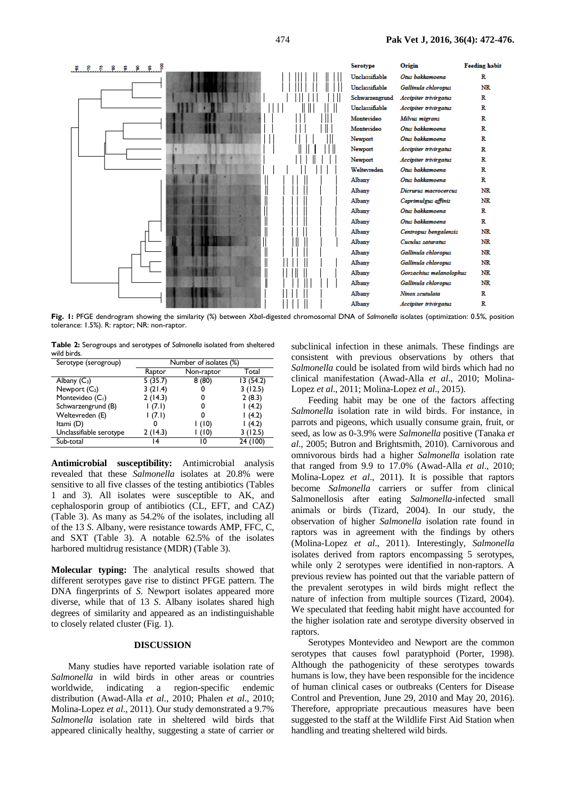

**Fig. 1:** PFGE dendrogram showing the similarity (%) between *Xba*I-digested chromosomal DNA of *Salmonella* isolates (optimization: 0.5%, position tolerance: 1.5%). R: raptor; NR: non-raptor.

**Table 2:** Serogroups and serotypes of *Salmonella* isolated from sheltered wild birds.

| Serotype (serogroup)         | Number of isolates (%) |            |          |
|------------------------------|------------------------|------------|----------|
|                              | Raptor                 | Non-raptor | Total    |
| Albany $(C_3)$               | 5(35.7)                | 8(80)      | 13(54.2) |
| Newport $(C_2)$              | 3(21.4)                |            | 3(12.5)  |
| Montevideo (C <sub>1</sub> ) | 2(14.3)                |            | 2(8.3)   |
| Schwarzengrund (B)           | (7.1)                  |            | (4.2)    |
| Weltevreden (E)              | (7.1)                  |            | (4.2)    |
| Itami (D)                    |                        | l (10)     | (4.2)    |
| Unclassifiable serotype      | 2(14.3)                | (10)       | 3(12.5)  |
| Sub-total                    |                        | 0          | 24 (100) |

**Antimicrobial susceptibility:** Antimicrobial analysis revealed that these *Salmonella* isolates at 20.8% were sensitive to all five classes of the testing antibiotics (Tables 1 and 3). All isolates were susceptible to AK, and cephalosporin group of antibiotics (CL, EFT, and CAZ) (Table 3). As many as 54.2% of the isolates, including all of the 13 *S*. Albany, were resistance towards AMP, FFC, C, and SXT (Table 3). A notable 62.5% of the isolates harbored multidrug resistance (MDR) (Table 3).

**Molecular typing:** The analytical results showed that different serotypes gave rise to distinct PFGE pattern. The DNA fingerprints of *S*. Newport isolates appeared more diverse, while that of 13 *S*. Albany isolates shared high degrees of similarity and appeared as an indistinguishable to closely related cluster (Fig. 1).

#### **DISCUSSION**

Many studies have reported variable isolation rate of *Salmonella* in wild birds in other areas or countries worldwide, indicating a region-specific endemic distribution (Awad-Alla *et al*., 2010; Phalen *et al*., 2010; Molina-Lopez *et al*., 2011). Our study demonstrated a 9.7% *Salmonella* isolation rate in sheltered wild birds that appeared clinically healthy, suggesting a state of carrier or

subclinical infection in these animals. These findings are consistent with previous observations by others that *Salmonella* could be isolated from wild birds which had no clinical manifestation (Awad-Alla *et al*., 2010; Molina-Lopez *et al*., 2011; Molina-Lopez *et al*., 2015).

Feeding habit may be one of the factors affecting *Salmonella* isolation rate in wild birds. For instance, in parrots and pigeons, which usually consume grain, fruit, or seed, as low as 0-3.9% were *Salmonella* positive (Tanaka *et al*., 2005; Butron and Brightsmith, 2010). Carnivorous and omnivorous birds had a higher *Salmonella* isolation rate that ranged from 9.9 to 17.0% (Awad-Alla *et al*., 2010; Molina-Lopez *et al*., 2011). It is possible that raptors become *Salmonella* carriers or suffer from clinical Salmonellosis after eating *Salmonella*-infected small animals or birds (Tizard, 2004). In our study, the observation of higher *Salmonella* isolation rate found in raptors was in agreement with the findings by others (Molina-Lopez *et al*., 2011). Interestingly, *Salmonella*  isolates derived from raptors encompassing 5 serotypes, while only 2 serotypes were identified in non-raptors. A previous review has pointed out that the variable pattern of the prevalent serotypes in wild birds might reflect the nature of infection from multiple sources (Tizard, 2004). We speculated that feeding habit might have accounted for the higher isolation rate and serotype diversity observed in raptors.

Serotypes Montevideo and Newport are the common serotypes that causes fowl paratyphoid (Porter, 1998). Although the pathogenicity of these serotypes towards humans is low, they have been responsible for the incidence of human clinical cases or outbreaks (Centers for Disease Control and Prevention, June 29, 2010 and May 20, 2016). Therefore, appropriate precautious measures have been suggested to the staff at the Wildlife First Aid Station when handling and treating sheltered wild birds.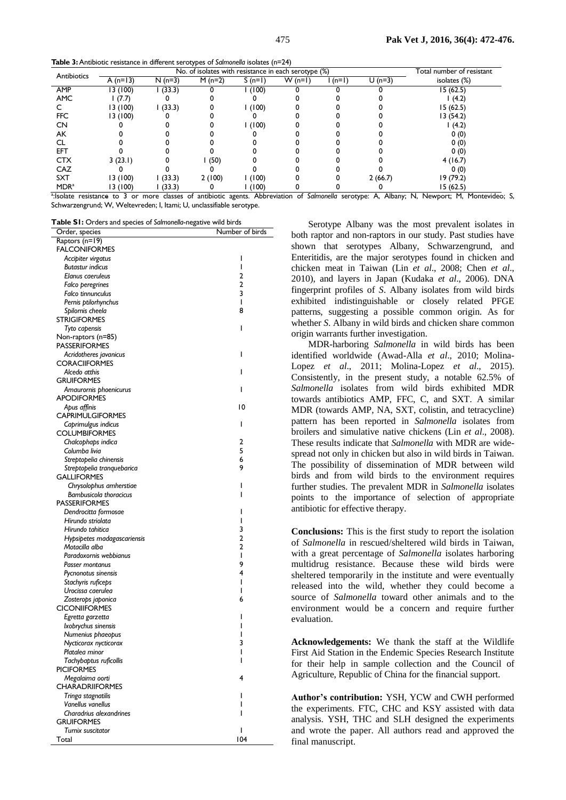**Table 3:**Antibiotic resistance in different serotypes of *Salmonella* isolates (n=24)

| Antibiotics             |                                                                                                                            | No. of isolates with resistance in each serotype (%) |          |          |          |         | Total number of resistant |                                    |
|-------------------------|----------------------------------------------------------------------------------------------------------------------------|------------------------------------------------------|----------|----------|----------|---------|---------------------------|------------------------------------|
|                         | A $(n=13)$                                                                                                                 | $N(n=3)$                                             | $M(n=2)$ | $S(n=1)$ | $W(n=1)$ | $(n=1)$ | $U(n=3)$                  | isolates (%)                       |
| AMP                     | 13 (100)                                                                                                                   | (33.3)                                               |          | (100)    |          |         |                           | 15(62.5)                           |
| <b>AMC</b>              | (7.7)                                                                                                                      |                                                      |          |          |          |         |                           | (4.2)                              |
|                         | 13 (100)                                                                                                                   | (33.3)                                               |          | (100)    |          |         |                           | 15(62.5)                           |
| <b>FFC</b>              | 13 (100)                                                                                                                   |                                                      |          |          |          |         |                           | 13 (54.2)                          |
| CN                      |                                                                                                                            |                                                      |          | (100)    |          |         |                           | (4.2)                              |
| AK                      |                                                                                                                            |                                                      |          |          |          |         |                           | 0(0)                               |
|                         |                                                                                                                            |                                                      |          |          |          |         |                           | 0(0)                               |
| EFT                     |                                                                                                                            |                                                      |          |          |          |         |                           | 0(0)                               |
| <b>CTX</b>              | 3(23.1)                                                                                                                    |                                                      | (50)     |          |          |         |                           | 4(16.7)                            |
| CAZ                     |                                                                                                                            |                                                      |          |          |          |         |                           | 0(0)                               |
| <b>SXT</b>              | 13 (100)                                                                                                                   | (33.3)                                               | 2(100)   | (100)    |          |         | 2(66.7)                   | 19(79.2)                           |
| <b>MDR</b> <sup>a</sup> | 13 (100)                                                                                                                   | (33.3)                                               |          | (100)    |          |         |                           | 15(62.5)                           |
|                         | <sup>3</sup> -leolate resistance to 3 or more classes of antibiotic agents. Abbroviation of Salmenella secondary $\Lambda$ |                                                      |          |          |          |         |                           | Albany N. Nowport M<br>Montovidoo: |

:Isolate resistance to 3 or more classes of antibiotic agents. Abbreviation of *Salmonella* serotype: A, Albany; N, Newport; M, Montevideo; S, Schwarzengrund; W, Weltevreden; I, Itami; U, unclassifiable serotype.

**Table S1:** Orders and species of *Salmonella*-negative wild birds

| Order, species                | Number of birds |
|-------------------------------|-----------------|
| Raptors (n=19)                |                 |
| <b>FALCONIFORMES</b>          |                 |
| Accipiter virgatus            | ı               |
| <b>Butastur indicus</b>       | ı               |
| Elanus caeruleus              | 2               |
| Falco peregrines              | $\overline{2}$  |
| Falco tinnunculus             | 3               |
| Pernis ptilorhynchus          | T               |
| Spilornis cheela              | 8               |
| <b>STRIGIFORMES</b>           |                 |
| Tyto capensis                 | ı               |
| Non-raptors (n=85)            |                 |
| <b>PASSERIFORMES</b>          |                 |
| Acridotheres javanicus        | I               |
| <b>CORACIIFORMES</b>          |                 |
| Alcedo atthis                 | ı               |
| <b>GRUIFORMES</b>             |                 |
| Amaurornis phoenicurus        | ı               |
| <b>APODIFORMES</b>            |                 |
| Apus affinis                  | 10              |
| <b>CAPRIMULGIFORMES</b>       |                 |
| Caprimulgus indicus           | ı               |
| <b>COLUMBIFORMES</b>          |                 |
| Chalcophaps indica            | 2               |
| Columba livia                 | 5               |
| Streptopelia chinensis        | 6               |
| Streptopelia tranquebarica    | 9               |
| <b>GALLIFORMES</b>            |                 |
| Chrysolophus amherstiae       | ı               |
| <b>Bambusicola thoracicus</b> | ı               |
| <b>PASSERIFORMES</b>          |                 |
| Dendrocitta formosae          | ı               |
| Hirundo striolata             | ı               |
| Hirundo tahitica              | 3               |
| Hypsipetes madagascariensis   | $\overline{a}$  |
| Motacilla alba                | 2               |
| Paradoxornis webbianus        | ı               |
| Passer montanus               | 9               |
| Pycnonotus sinensis           | 4               |
| Stachyris ruficeps            | ı               |
| Urocissa caerulea             | I               |
| Zosterops japonica            | 6               |
| <b>CICONIIFORMES</b>          |                 |
| Egretta garzetta              | ı               |
| Ixobrychus sinensis           |                 |
| Numenius phaeopus             |                 |
| Nycticorax nycticorax         | 3               |
| Platalea minor                |                 |
| Tachybaptus ruficollis        | ı               |
| <b>PICIFORMES</b>             |                 |
| Megalaima oorti               | 4               |
| <b>CHARADRIIFORMES</b>        |                 |
| Tringa stagnatilis            | ı               |
| Vanellus vanellus             |                 |
| Charadrius alexandrines       |                 |
| <b>GRUIFORMES</b>             |                 |
| <b>Turnix suscitator</b>      | I<br>104        |
| Total                         |                 |

Serotype Albany was the most prevalent isolates in both raptor and non-raptors in our study. Past studies have shown that serotypes Albany, Schwarzengrund, and Enteritidis, are the major serotypes found in chicken and chicken meat in Taiwan (Lin *et al*., 2008; Chen *et al*., 2010), and layers in Japan (Kudaka *et al*., 2006). DNA fingerprint profiles of *S*. Albany isolates from wild birds exhibited indistinguishable or closely related PFGE patterns, suggesting a possible common origin. As for whether *S*. Albany in wild birds and chicken share common origin warrants further investigation.

MDR-harboring *Salmonella* in wild birds has been identified worldwide (Awad-Alla *et al*., 2010; Molina-Lopez *et al*., 2011; Molina-Lopez *et al*., 2015). Consistently, in the present study, a notable 62.5% of *Salmonella* isolates from wild birds exhibited MDR towards antibiotics AMP, FFC, C, and SXT. A similar MDR (towards AMP, NA, SXT, colistin, and tetracycline) pattern has been reported in *Salmonella* isolates from broilers and simulative native chickens (Lin *et al*., 2008). These results indicate that *Salmonella* with MDR are widespread not only in chicken but also in wild birds in Taiwan. The possibility of dissemination of MDR between wild birds and from wild birds to the environment requires further studies. The prevalent MDR in *Salmonella* isolates points to the importance of selection of appropriate antibiotic for effective therapy.

**Conclusions:** This is the first study to report the isolation of *Salmonella* in rescued/sheltered wild birds in Taiwan, with a great percentage of *Salmonella* isolates harboring multidrug resistance. Because these wild birds were sheltered temporarily in the institute and were eventually released into the wild, whether they could become a source of *Salmonella* toward other animals and to the environment would be a concern and require further evaluation.

**Acknowledgements:** We thank the staff at the Wildlife First Aid Station in the Endemic Species Research Institute for their help in sample collection and the Council of Agriculture, Republic of China for the financial support.

**Author's contribution:** YSH, YCW and CWH performed the experiments. FTC, CHC and KSY assisted with data analysis. YSH, THC and SLH designed the experiments and wrote the paper. All authors read and approved the final manuscript.